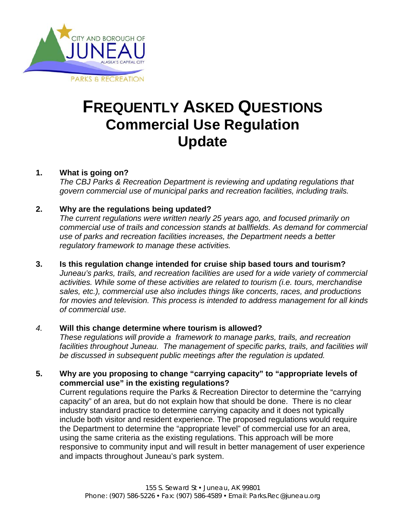

# **FREQUENTLY ASKED QUESTIONS Commercial Use Regulation Update**

# **1. What is going on?**

*The CBJ Parks & Recreation Department is reviewing and updating regulations that govern commercial use of municipal parks and recreation facilities, including trails.*

# **2. Why are the regulations being updated?**

*The current regulations were written nearly 25 years ago, and focused primarily on commercial use of trails and concession stands at ballfields. As demand for commercial use of parks and recreation facilities increases, the Department needs a better regulatory framework to manage these activities.*

**3. Is this regulation change intended for cruise ship based tours and tourism?** *Juneau's parks, trails, and recreation facilities are used for a wide variety of commercial activities. While some of these activities are related to tourism (i.e. tours, merchandise sales, etc.), commercial use also includes things like concerts, races, and productions for movies and television. This process is intended to address management for all kinds of commercial use.* 

## *4.* **Will this change determine where tourism is allowed?**

*These regulations will provide a framework to manage parks, trails, and recreation facilities throughout Juneau. The management of specific parks, trails, and facilities will be discussed in subsequent public meetings after the regulation is updated.*

**5. Why are you proposing to change "carrying capacity" to "appropriate levels of commercial use" in the existing regulations?**

Current regulations require the Parks & Recreation Director to determine the "carrying capacity" of an area, but do not explain how that should be done. There is no clear industry standard practice to determine carrying capacity and it does not typically include both visitor and resident experience. The proposed regulations would require the Department to determine the "appropriate level" of commercial use for an area, using the same criteria as the existing regulations. This approach will be more responsive to community input and will result in better management of user experience and impacts throughout Juneau's park system.